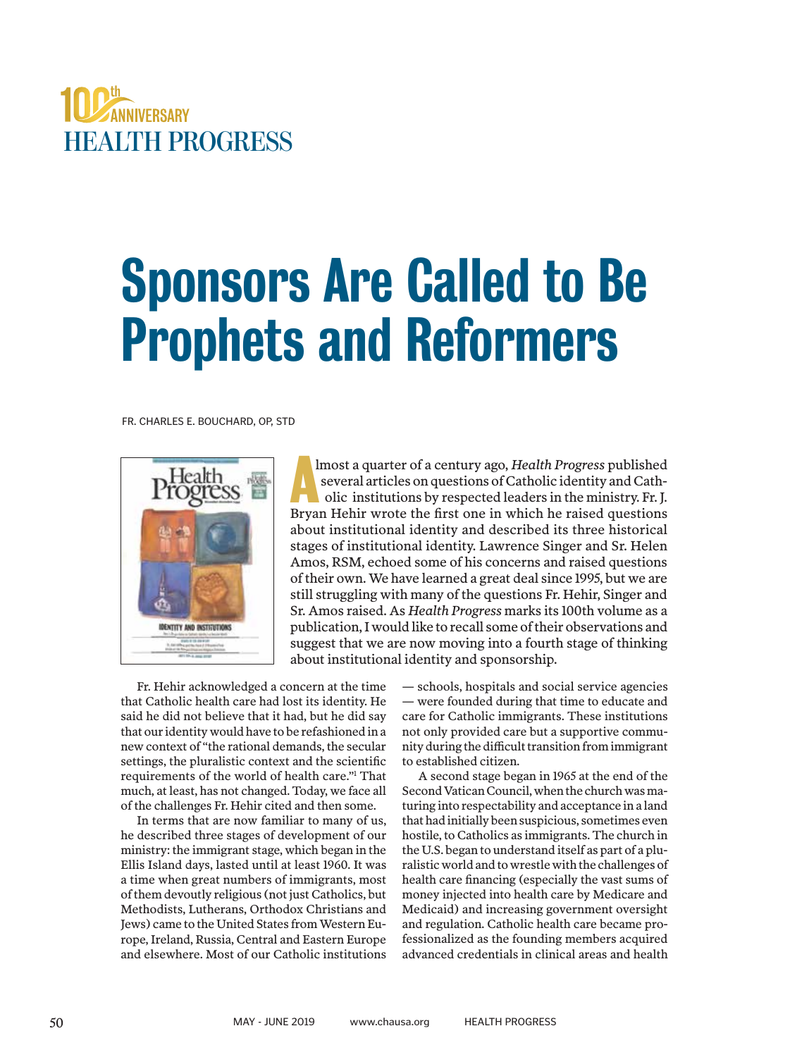

# Sponsors Are Called to Be Prophets and Reformers

FR. CHARLES E. BOUCHARD, OP, STD



lmost a quarter of a century ago, *Health Progress* published several articles on questions of Catholic identity and Catholic institutions by respected leaders in the ministry. Fr. J. Imost a quarter of a century ago, *Health Progress* published several articles on questions of Catholic identity and Catholic institutions by respected leaders in the ministry. Fr. J. Bryan Hehir wrote the first one in whi about institutional identity and described its three historical stages of institutional identity. Lawrence Singer and Sr. Helen Amos, RSM, echoed some of his concerns and raised questions of their own. We have learned a great deal since 1995, but we are still struggling with many of the questions Fr. Hehir, Singer and Sr. Amos raised. As *Health Progress* marks its 100th volume as a publication, I would like to recall some of their observations and suggest that we are now moving into a fourth stage of thinking about institutional identity and sponsorship.

Fr. Hehir acknowledged a concern at the time that Catholic health care had lost its identity. He said he did not believe that it had, but he did say that our identity would have to be refashioned in a new context of "the rational demands, the secular settings, the pluralistic context and the scientific requirements of the world of health care."1 That much, at least, has not changed. Today, we face all of the challenges Fr. Hehir cited and then some.

In terms that are now familiar to many of us, he described three stages of development of our ministry: the immigrant stage, which began in the Ellis Island days, lasted until at least 1960. It was a time when great numbers of immigrants, most of them devoutly religious (not just Catholics, but Methodists, Lutherans, Orthodox Christians and Jews) came to the United States from Western Europe, Ireland, Russia, Central and Eastern Europe and elsewhere. Most of our Catholic institutions

— schools, hospitals and social service agencies — were founded during that time to educate and care for Catholic immigrants. These institutions not only provided care but a supportive community during the difficult transition from immigrant to established citizen.

A second stage began in 1965 at the end of the Second Vatican Council, when the church was maturing into respectability and acceptance in a land that had initially been suspicious, sometimes even hostile, to Catholics as immigrants. The church in the U.S. began to understand itself as part of a pluralistic world and to wrestle with the challenges of health care financing (especially the vast sums of money injected into health care by Medicare and Medicaid) and increasing government oversight and regulation. Catholic health care became professionalized as the founding members acquired advanced credentials in clinical areas and health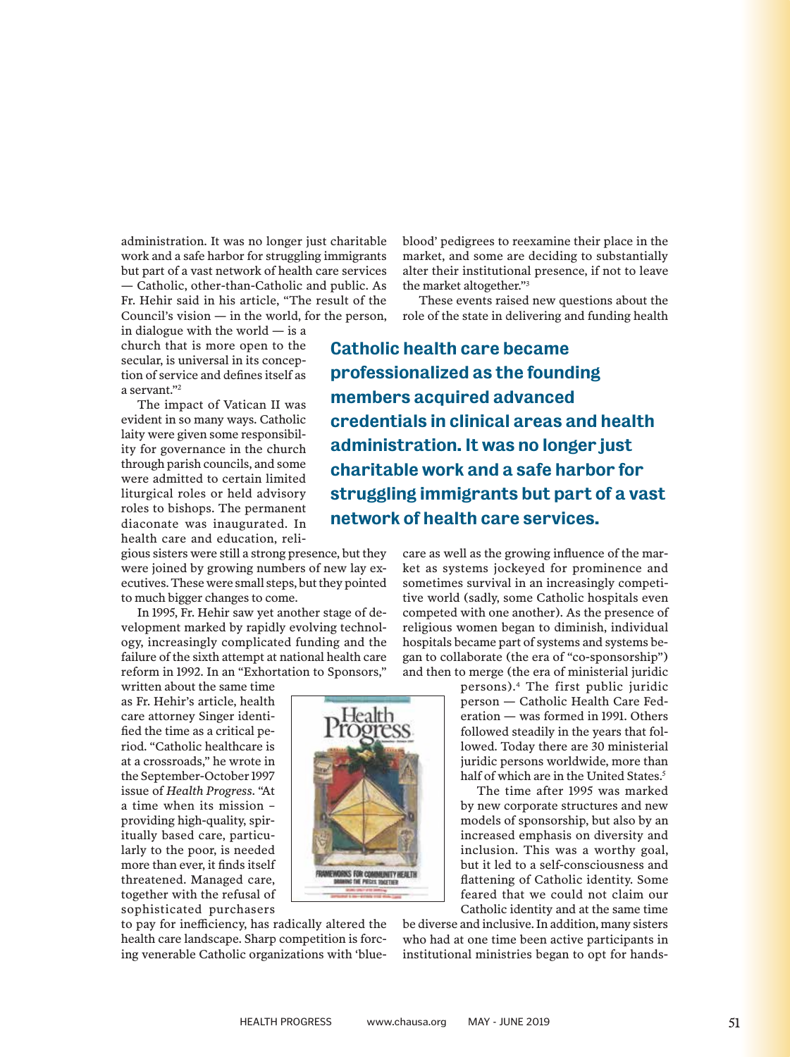administration. It was no longer just charitable work and a safe harbor for struggling immigrants but part of a vast network of health care services — Catholic, other-than-Catholic and public. As Fr. Hehir said in his article, "The result of the Council's vision  $-$  in the world, for the person,

in dialogue with the world — is a church that is more open to the secular, is universal in its conception of service and defines itself as a servant."2

The impact of Vatican II was evident in so many ways. Catholic laity were given some responsibility for governance in the church through parish councils, and some were admitted to certain limited liturgical roles or held advisory roles to bishops. The permanent diaconate was inaugurated. In health care and education, reli-

gious sisters were still a strong presence, but they were joined by growing numbers of new lay executives. These were small steps, but they pointed to much bigger changes to come.

In 1995, Fr. Hehir saw yet another stage of development marked by rapidly evolving technology, increasingly complicated funding and the failure of the sixth attempt at national health care reform in 1992. In an "Exhortation to Sponsors,"

written about the same time as Fr. Hehir's article, health care attorney Singer identified the time as a critical period. "Catholic healthcare is at a crossroads," he wrote in the September-October 1997 issue of *Health Progress*. "At a time when its mission – providing high-quality, spiritually based care, particularly to the poor, is needed more than ever, it finds itself threatened. Managed care, together with the refusal of sophisticated purchasers

to pay for inefficiency, has radically altered the health care landscape. Sharp competition is forcing venerable Catholic organizations with 'blueblood' pedigrees to reexamine their place in the market, and some are deciding to substantially alter their institutional presence, if not to leave the market altogether."3

These events raised new questions about the role of the state in delivering and funding health

Catholic health care became professionalized as the founding members acquired advanced credentials in clinical areas and health administration. It was no longer just charitable work and a safe harbor for struggling immigrants but part of a vast network of health care services.

> care as well as the growing influence of the market as systems jockeyed for prominence and sometimes survival in an increasingly competitive world (sadly, some Catholic hospitals even competed with one another). As the presence of religious women began to diminish, individual hospitals became part of systems and systems began to collaborate (the era of "co-sponsorship") and then to merge (the era of ministerial juridic

> > persons).4 The first public juridic person — Catholic Health Care Federation — was formed in 1991. Others followed steadily in the years that followed. Today there are 30 ministerial juridic persons worldwide, more than half of which are in the United States.<sup>5</sup>

> > The time after 1995 was marked by new corporate structures and new models of sponsorship, but also by an increased emphasis on diversity and inclusion. This was a worthy goal, but it led to a self-consciousness and flattening of Catholic identity. Some feared that we could not claim our Catholic identity and at the same time

be diverse and inclusive. In addition, many sisters who had at one time been active participants in institutional ministries began to opt for hands-

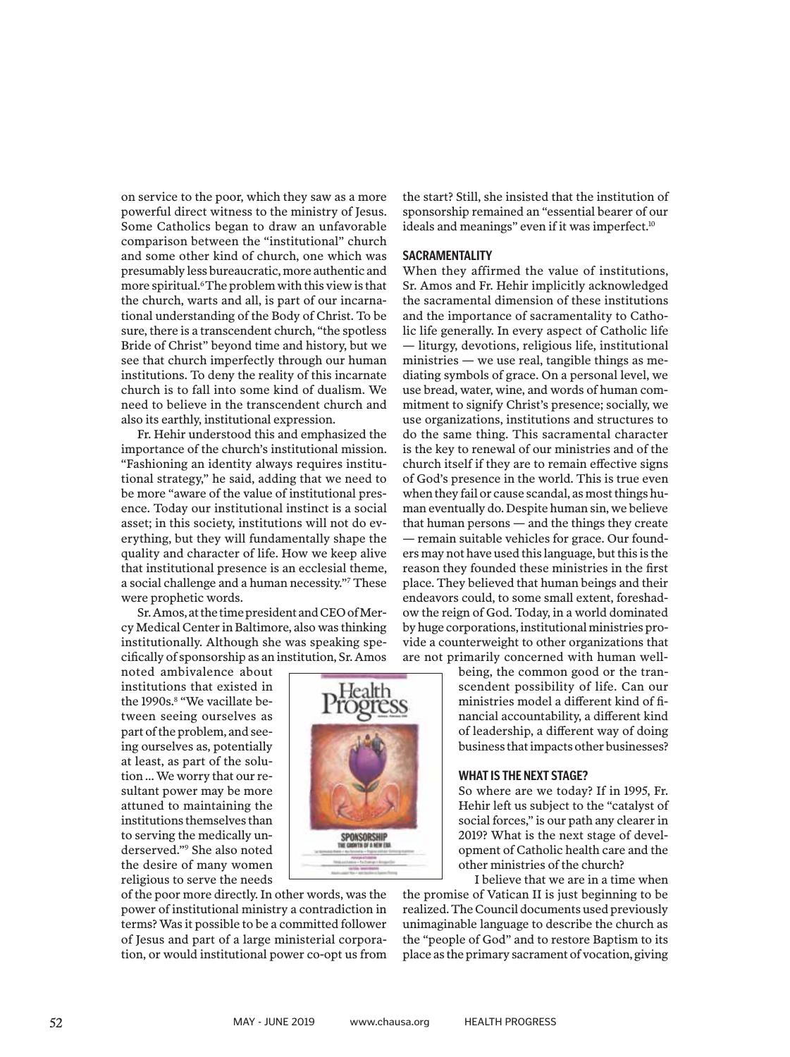on service to the poor, which they saw as a more powerful direct witness to the ministry of Jesus. Some Catholics began to draw an unfavorable comparison between the "institutional" church and some other kind of church, one which was presumably less bureaucratic, more authentic and more spiritual.<sup>6</sup> The problem with this view is that the church, warts and all, is part of our incarnational understanding of the Body of Christ. To be sure, there is a transcendent church, "the spotless Bride of Christ" beyond time and history, but we see that church imperfectly through our human institutions. To deny the reality of this incarnate church is to fall into some kind of dualism. We need to believe in the transcendent church and also its earthly, institutional expression.

Fr. Hehir understood this and emphasized the importance of the church's institutional mission. "Fashioning an identity always requires institutional strategy," he said, adding that we need to be more "aware of the value of institutional presence. Today our institutional instinct is a social asset; in this society, institutions will not do everything, but they will fundamentally shape the quality and character of life. How we keep alive that institutional presence is an ecclesial theme, a social challenge and a human necessity."7 These were prophetic words.

Sr. Amos, at the time president and CEO of Mercy Medical Center in Baltimore, also was thinking institutionally. Although she was speaking specifically of sponsorship as an institution, Sr. Amos

noted ambivalence about institutions that existed in the 1990s.<sup>8</sup> "We vacillate between seeing ourselves as part of the problem, and seeing ourselves as, potentially at least, as part of the solution … We worry that our resultant power may be more attuned to maintaining the institutions themselves than to serving the medically underserved."9 She also noted the desire of many women religious to serve the needs

of the poor more directly. In other words, was the power of institutional ministry a contradiction in terms? Was it possible to be a committed follower of Jesus and part of a large ministerial corporation, or would institutional power co-opt us from

the start? Still, she insisted that the institution of sponsorship remained an "essential bearer of our ideals and meanings" even if it was imperfect.<sup>10</sup>

#### **SACRAMENTALITY**

When they affirmed the value of institutions, Sr. Amos and Fr. Hehir implicitly acknowledged the sacramental dimension of these institutions and the importance of sacramentality to Catholic life generally. In every aspect of Catholic life — liturgy, devotions, religious life, institutional ministries — we use real, tangible things as mediating symbols of grace. On a personal level, we use bread, water, wine, and words of human commitment to signify Christ's presence; socially, we use organizations, institutions and structures to do the same thing. This sacramental character is the key to renewal of our ministries and of the church itself if they are to remain effective signs of God's presence in the world. This is true even when they fail or cause scandal, as most things human eventually do. Despite human sin, we believe that human persons — and the things they create — remain suitable vehicles for grace. Our founders may not have used this language, but this is the reason they founded these ministries in the first place. They believed that human beings and their endeavors could, to some small extent, foreshadow the reign of God. Today, in a world dominated by huge corporations, institutional ministries provide a counterweight to other organizations that are not primarily concerned with human well-

> being, the common good or the transcendent possibility of life. Can our ministries model a different kind of financial accountability, a different kind of leadership, a different way of doing business that impacts other businesses?

#### **WHAT IS THE NEXT STAGE?**

So where are we today? If in 1995, Fr. Hehir left us subject to the "catalyst of social forces," is our path any clearer in 2019? What is the next stage of development of Catholic health care and the other ministries of the church?

I believe that we are in a time when the promise of Vatican II is just beginning to be realized. The Council documents used previously unimaginable language to describe the church as the "people of God" and to restore Baptism to its place as the primary sacrament of vocation, giving

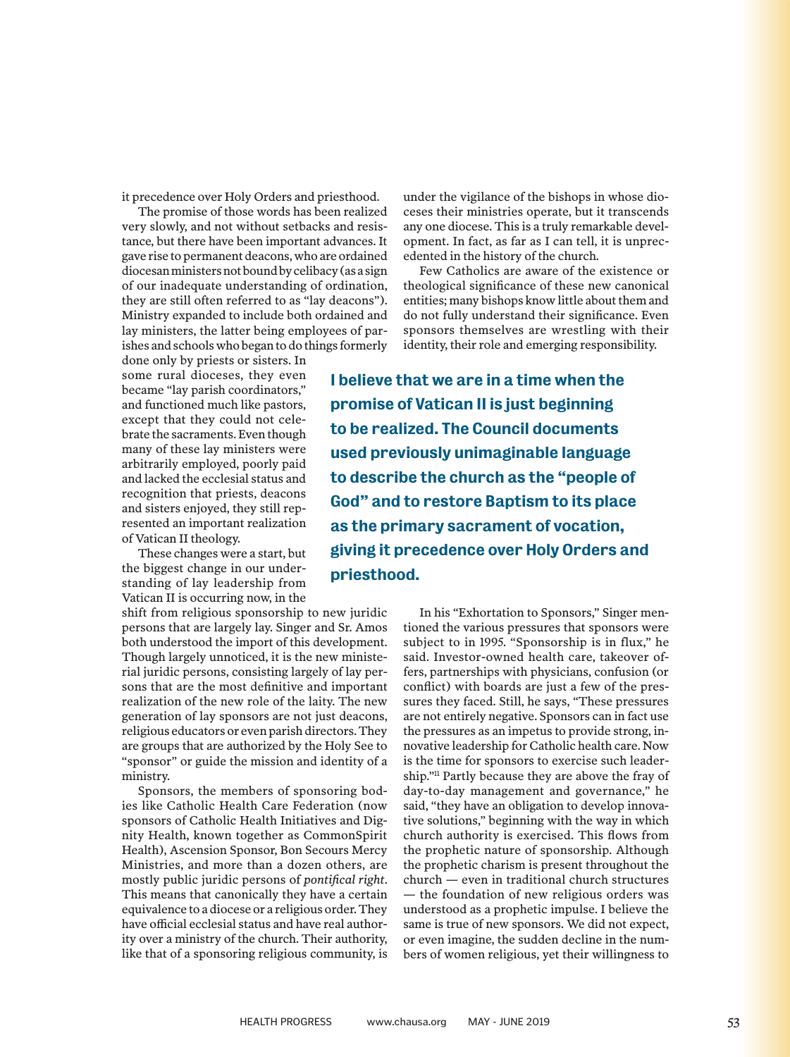it precedence over Holy Orders and priesthood.

The promise of those words has been realized very slowly, and not without setbacks and resistance, but there have been important advances. It gave rise to permanent deacons, who are ordained diocesan ministers not bound by celibacy (as a sign of our inadequate understanding of ordination, they are still often referred to as "lay deacons"). Ministry expanded to include both ordained and lay ministers, the latter being employees of parishes and schools who began to do things formerly

done only by priests or sisters. In some rural dioceses, they even became "lay parish coordinators," and functioned much like pastors, except that they could not celebrate the sacraments. Even though many of these lay ministers were arbitrarily employed, poorly paid and lacked the ecclesial status and recognition that priests, deacons and sisters enjoyed, they still represented an important realization of Vatican II theology.

These changes were a start, but the biggest change in our understanding of lay leadership from Vatican II is occurring now, in the

shift from religious sponsorship to new juridic persons that are largely lay. Singer and Sr. Amos both understood the import of this development. Though largely unnoticed, it is the new ministerial juridic persons, consisting largely of lay persons that are the most definitive and important realization of the new role of the laity. The new generation of lay sponsors are not just deacons, religious educators or even parish directors. They are groups that are authorized by the Holy See to "sponsor" or guide the mission and identity of a ministry.

Sponsors, the members of sponsoring bodies like Catholic Health Care Federation (now sponsors of Catholic Health Initiatives and Dignity Health, known together as CommonSpirit Health), Ascension Sponsor, Bon Secours Mercy Ministries, and more than a dozen others, are mostly public juridic persons of *pontifical right*. This means that canonically they have a certain equivalence to a diocese or a religious order. They have official ecclesial status and have real authority over a ministry of the church. Their authority, like that of a sponsoring religious community, is under the vigilance of the bishops in whose dioceses their ministries operate, but it transcends any one diocese. This is a truly remarkable development. In fact, as far as I can tell, it is unprecedented in the history of the church.

Few Catholics are aware of the existence or theological significance of these new canonical entities; many bishops know little about them and do not fully understand their significance. Even sponsors themselves are wrestling with their identity, their role and emerging responsibility.

I believe that we are in a time when the promise of Vatican II is just beginning to be realized. The Council documents used previously unimaginable language to describe the church as the "people of God" and to restore Baptism to its place as the primary sacrament of vocation, giving it precedence over Holy Orders and priesthood.

> In his "Exhortation to Sponsors," Singer mentioned the various pressures that sponsors were subject to in 1995. "Sponsorship is in flux," he said. Investor-owned health care, takeover offers, partnerships with physicians, confusion (or conflict) with boards are just a few of the pressures they faced. Still, he says, "These pressures are not entirely negative. Sponsors can in fact use the pressures as an impetus to provide strong, innovative leadership for Catholic health care. Now is the time for sponsors to exercise such leadership."11 Partly because they are above the fray of day-to-day management and governance," he said, "they have an obligation to develop innovative solutions," beginning with the way in which church authority is exercised. This flows from the prophetic nature of sponsorship. Although the prophetic charism is present throughout the church — even in traditional church structures — the foundation of new religious orders was understood as a prophetic impulse. I believe the same is true of new sponsors. We did not expect, or even imagine, the sudden decline in the numbers of women religious, yet their willingness to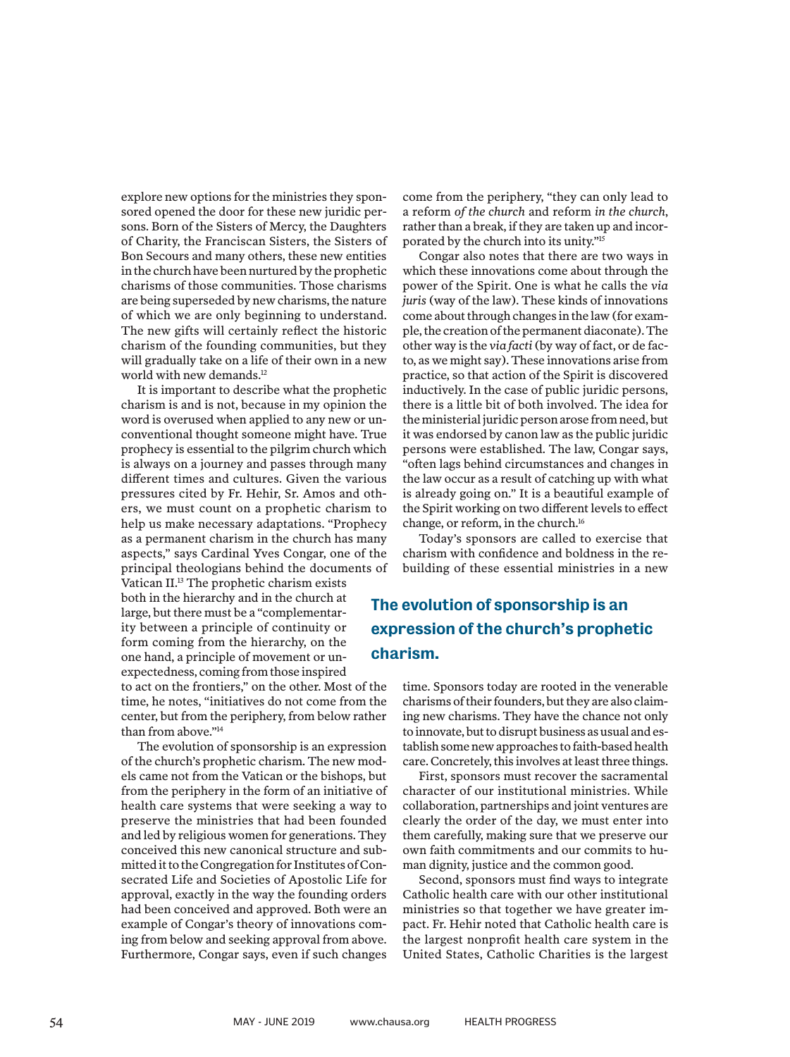explore new options for the ministries they sponsored opened the door for these new juridic persons. Born of the Sisters of Mercy, the Daughters of Charity, the Franciscan Sisters, the Sisters of Bon Secours and many others, these new entities in the church have been nurtured by the prophetic charisms of those communities. Those charisms are being superseded by new charisms, the nature of which we are only beginning to understand. The new gifts will certainly reflect the historic charism of the founding communities, but they will gradually take on a life of their own in a new world with new demands.<sup>12</sup>

It is important to describe what the prophetic charism is and is not, because in my opinion the word is overused when applied to any new or unconventional thought someone might have. True prophecy is essential to the pilgrim church which is always on a journey and passes through many different times and cultures. Given the various pressures cited by Fr. Hehir, Sr. Amos and others, we must count on a prophetic charism to help us make necessary adaptations. "Prophecy as a permanent charism in the church has many aspects," says Cardinal Yves Congar, one of the principal theologians behind the documents of

Vatican II.13 The prophetic charism exists both in the hierarchy and in the church at large, but there must be a "complementarity between a principle of continuity or form coming from the hierarchy, on the one hand, a principle of movement or unexpectedness, coming from those inspired

to act on the frontiers," on the other. Most of the time, he notes, "initiatives do not come from the center, but from the periphery, from below rather than from above."14

The evolution of sponsorship is an expression of the church's prophetic charism. The new models came not from the Vatican or the bishops, but from the periphery in the form of an initiative of health care systems that were seeking a way to preserve the ministries that had been founded and led by religious women for generations. They conceived this new canonical structure and submitted it to the Congregation for Institutes of Consecrated Life and Societies of Apostolic Life for approval, exactly in the way the founding orders had been conceived and approved. Both were an example of Congar's theory of innovations coming from below and seeking approval from above. Furthermore, Congar says, even if such changes

come from the periphery, "they can only lead to a reform *of the church* and reform *in the church*, rather than a break, if they are taken up and incorporated by the church into its unity."15

Congar also notes that there are two ways in which these innovations come about through the power of the Spirit. One is what he calls the *via juris* (way of the law). These kinds of innovations come about through changes in the law (for example, the creation of the permanent diaconate). The other way is the *via facti* (by way of fact, or de facto, as we might say). These innovations arise from practice, so that action of the Spirit is discovered inductively. In the case of public juridic persons, there is a little bit of both involved. The idea for the ministerial juridic person arose from need, but it was endorsed by canon law as the public juridic persons were established. The law, Congar says, "often lags behind circumstances and changes in the law occur as a result of catching up with what is already going on." It is a beautiful example of the Spirit working on two different levels to effect change, or reform, in the church.16

Today's sponsors are called to exercise that charism with confidence and boldness in the rebuilding of these essential ministries in a new

### The evolution of sponsorship is an expression of the church's prophetic charism.

time. Sponsors today are rooted in the venerable charisms of their founders, but they are also claiming new charisms. They have the chance not only to innovate, but to disrupt business as usual and establish some new approaches to faith-based health care. Concretely, this involves at least three things.

First, sponsors must recover the sacramental character of our institutional ministries. While collaboration, partnerships and joint ventures are clearly the order of the day, we must enter into them carefully, making sure that we preserve our own faith commitments and our commits to human dignity, justice and the common good.

Second, sponsors must find ways to integrate Catholic health care with our other institutional ministries so that together we have greater impact. Fr. Hehir noted that Catholic health care is the largest nonprofit health care system in the United States, Catholic Charities is the largest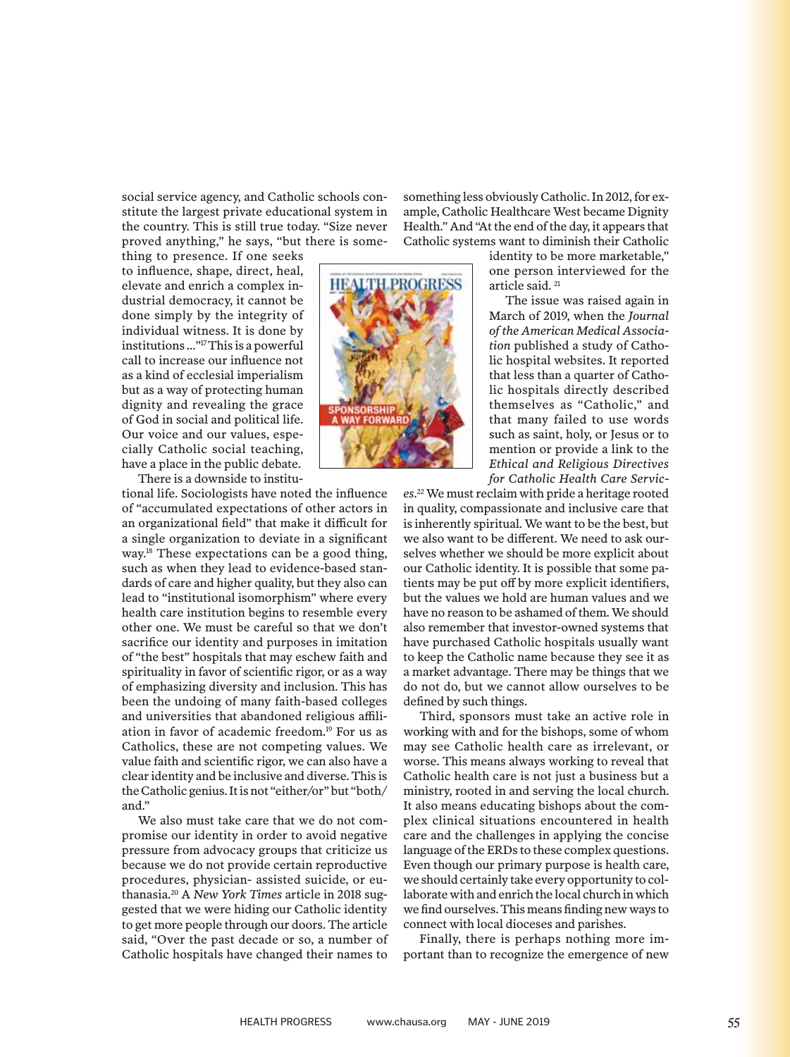social service agency, and Catholic schools constitute the largest private educational system in the country. This is still true today. "Size never proved anything," he says, "but there is some-

thing to presence. If one seeks to influence, shape, direct, heal, elevate and enrich a complex industrial democracy, it cannot be done simply by the integrity of individual witness. It is done by institutions …"17 This is a powerful call to increase our influence not as a kind of ecclesial imperialism but as a way of protecting human dignity and revealing the grace of God in social and political life. Our voice and our values, especially Catholic social teaching, have a place in the public debate.

There is a downside to institu-

tional life. Sociologists have noted the influence of "accumulated expectations of other actors in an organizational field" that make it difficult for a single organization to deviate in a significant way.18 These expectations can be a good thing, such as when they lead to evidence-based standards of care and higher quality, but they also can lead to "institutional isomorphism" where every health care institution begins to resemble every other one. We must be careful so that we don't sacrifice our identity and purposes in imitation of "the best" hospitals that may eschew faith and spirituality in favor of scientific rigor, or as a way of emphasizing diversity and inclusion. This has been the undoing of many faith-based colleges and universities that abandoned religious affiliation in favor of academic freedom.19 For us as Catholics, these are not competing values. We value faith and scientific rigor, we can also have a clear identity and be inclusive and diverse. This is the Catholic genius. It is not "either/or" but "both/ and."

We also must take care that we do not compromise our identity in order to avoid negative pressure from advocacy groups that criticize us because we do not provide certain reproductive procedures, physician- assisted suicide, or euthanasia.20 A *New York Times* article in 2018 suggested that we were hiding our Catholic identity to get more people through our doors. The article said, "Over the past decade or so, a number of Catholic hospitals have changed their names to something less obviously Catholic. In 2012, for example, Catholic Healthcare West became Dignity Health." And "At the end of the day, it appears that Catholic systems want to diminish their Catholic

identity to be more marketable," one person interviewed for the article said. 21

The issue was raised again in March of 2019, when the *Journal of the American Medical Association* published a study of Catholic hospital websites. It reported that less than a quarter of Catholic hospitals directly described themselves as "Catholic," and that many failed to use words such as saint, holy, or Jesus or to mention or provide a link to the *Ethical and Religious Directives for Catholic Health Care Servic-*

*es*. 22 We must reclaim with pride a heritage rooted in quality, compassionate and inclusive care that is inherently spiritual. We want to be the best, but we also want to be different. We need to ask ourselves whether we should be more explicit about our Catholic identity. It is possible that some patients may be put off by more explicit identifiers, but the values we hold are human values and we have no reason to be ashamed of them. We should also remember that investor-owned systems that have purchased Catholic hospitals usually want to keep the Catholic name because they see it as a market advantage. There may be things that we do not do, but we cannot allow ourselves to be defined by such things.

Third, sponsors must take an active role in working with and for the bishops, some of whom may see Catholic health care as irrelevant, or worse. This means always working to reveal that Catholic health care is not just a business but a ministry, rooted in and serving the local church. It also means educating bishops about the complex clinical situations encountered in health care and the challenges in applying the concise language of the ERDs to these complex questions. Even though our primary purpose is health care, we should certainly take every opportunity to collaborate with and enrich the local church in which we find ourselves. This means finding new ways to connect with local dioceses and parishes.

Finally, there is perhaps nothing more important than to recognize the emergence of new



**HEALTH\_PROGRESS**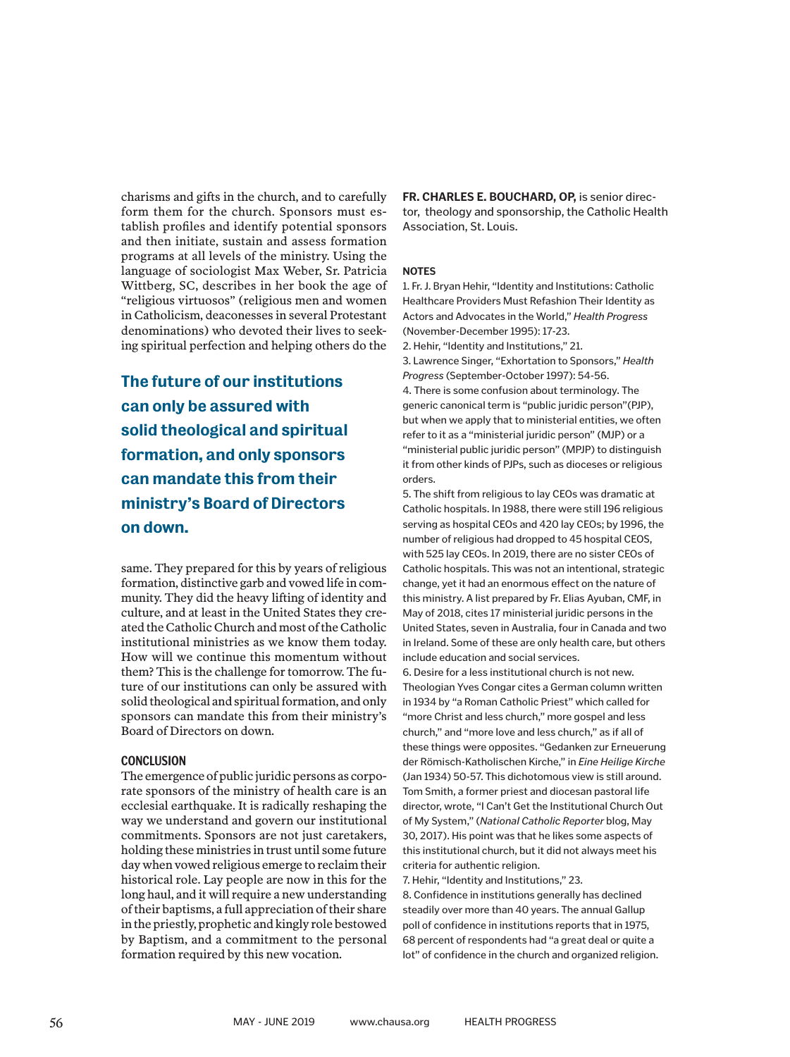charisms and gifts in the church, and to carefully form them for the church. Sponsors must establish profiles and identify potential sponsors and then initiate, sustain and assess formation programs at all levels of the ministry. Using the language of sociologist Max Weber, Sr. Patricia Wittberg, SC, describes in her book the age of "religious virtuosos" (religious men and women in Catholicism, deaconesses in several Protestant denominations) who devoted their lives to seeking spiritual perfection and helping others do the

The future of our institutions can only be assured with solid theological and spiritual formation, and only sponsors can mandate this from their ministry's Board of Directors on down.

same. They prepared for this by years of religious formation, distinctive garb and vowed life in community. They did the heavy lifting of identity and culture, and at least in the United States they created the Catholic Church and most of the Catholic institutional ministries as we know them today. How will we continue this momentum without them? This is the challenge for tomorrow. The future of our institutions can only be assured with solid theological and spiritual formation, and only sponsors can mandate this from their ministry's Board of Directors on down.

#### **CONCLUSION**

The emergence of public juridic persons as corporate sponsors of the ministry of health care is an ecclesial earthquake. It is radically reshaping the way we understand and govern our institutional commitments. Sponsors are not just caretakers, holding these ministries in trust until some future day when vowed religious emerge to reclaim their historical role. Lay people are now in this for the long haul, and it will require a new understanding of their baptisms, a full appreciation of their share in the priestly, prophetic and kingly role bestowed by Baptism, and a commitment to the personal formation required by this new vocation.

**FR. CHARLES E. BOUCHARD, OP,** is senior director, theology and sponsorship, the Catholic Health Association, St. Louis.

#### **NOTES**

1. Fr. J. Bryan Hehir, "Identity and Institutions: Catholic Healthcare Providers Must Refashion Their Identity as Actors and Advocates in the World," *Health Progress* (November-December 1995): 17-23.

2. Hehir, "Identity and Institutions," 21.

3. Lawrence Singer, "Exhortation to Sponsors," *Health Progress* (September-October 1997): 54-56.

4. There is some confusion about terminology. The generic canonical term is "public juridic person"(PJP), but when we apply that to ministerial entities, we often refer to it as a "ministerial juridic person" (MJP) or a "ministerial public juridic person" (MPJP) to distinguish it from other kinds of PJPs, such as dioceses or religious orders.

5. The shift from religious to lay CEOs was dramatic at Catholic hospitals. In 1988, there were still 196 religious serving as hospital CEOs and 420 lay CEOs; by 1996, the number of religious had dropped to 45 hospital CEOS, with 525 lay CEOs. In 2019, there are no sister CEOs of Catholic hospitals. This was not an intentional, strategic change, yet it had an enormous effect on the nature of this ministry. A list prepared by Fr. Elias Ayuban, CMF, in May of 2018, cites 17 ministerial juridic persons in the United States, seven in Australia, four in Canada and two in Ireland. Some of these are only health care, but others include education and social services.

6. Desire for a less institutional church is not new. Theologian Yves Congar cites a German column written in 1934 by "a Roman Catholic Priest" which called for "more Christ and less church," more gospel and less church," and "more love and less church," as if all of these things were opposites. "Gedanken zur Erneuerung der Römisch-Katholischen Kirche," in *Eine Heilige Kirche* (Jan 1934) 50-57. This dichotomous view is still around. Tom Smith, a former priest and diocesan pastoral life director, wrote, "I Can't Get the Institutional Church Out of My System," (*National Catholic Reporter* blog, May 30, 2017). His point was that he likes some aspects of this institutional church, but it did not always meet his criteria for authentic religion.

7. Hehir, "Identity and Institutions," 23.

8. Confidence in institutions generally has declined steadily over more than 40 years. The annual Gallup poll of confidence in institutions reports that in 1975, 68 percent of respondents had "a great deal or quite a lot" of confidence in the church and organized religion.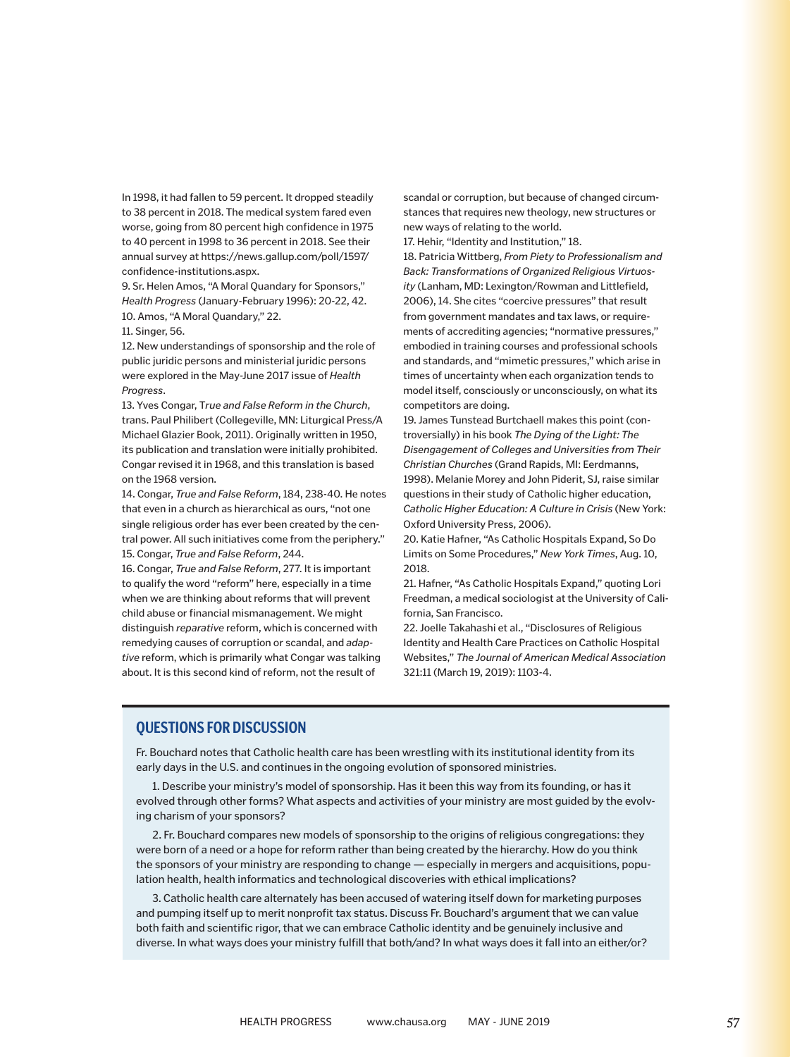In 1998, it had fallen to 59 percent. It dropped steadily to 38 percent in 2018. The medical system fared even worse, going from 80 percent high confidence in 1975 to 40 percent in 1998 to 36 percent in 2018. See their annual survey at https://news.gallup.com/poll/1597/ confidence-institutions.aspx.

9. Sr. Helen Amos, "A Moral Quandary for Sponsors," *Health Progress* (January-February 1996): 20-22, 42. 10. Amos, "A Moral Quandary," 22.

11. Singer, 56.

12. New understandings of sponsorship and the role of public juridic persons and ministerial juridic persons were explored in the May-June 2017 issue of *Health Progress*.

13. Yves Congar, T*rue and False Reform in the Church*, trans. Paul Philibert (Collegeville, MN: Liturgical Press/A Michael Glazier Book, 2011). Originally written in 1950, its publication and translation were initially prohibited. Congar revised it in 1968, and this translation is based on the 1968 version.

14. Congar, *True and False Reform*, 184, 238-40. He notes that even in a church as hierarchical as ours, "not one single religious order has ever been created by the central power. All such initiatives come from the periphery." 15. Congar, *True and False Reform*, 244.

16. Congar, *True and False Reform*, 277. It is important to qualify the word "reform" here, especially in a time when we are thinking about reforms that will prevent child abuse or financial mismanagement. We might distinguish *reparative* reform, which is concerned with remedying causes of corruption or scandal, and *adaptive* reform, which is primarily what Congar was talking about. It is this second kind of reform, not the result of

scandal or corruption, but because of changed circumstances that requires new theology, new structures or new ways of relating to the world.

17. Hehir, "Identity and Institution," 18.

18. Patricia Wittberg, *From Piety to Professionalism and Back: Transformations of Organized Religious Virtuosity* (Lanham, MD: Lexington/Rowman and Littlefield, 2006), 14. She cites "coercive pressures" that result from government mandates and tax laws, or requirements of accrediting agencies; "normative pressures," embodied in training courses and professional schools and standards, and "mimetic pressures," which arise in times of uncertainty when each organization tends to model itself, consciously or unconsciously, on what its competitors are doing.

19. James Tunstead Burtchaell makes this point (controversially) in his book *The Dying of the Light: The Disengagement of Colleges and Universities from Their Christian Churches* (Grand Rapids, MI: Eerdmanns, 1998). Melanie Morey and John Piderit, SJ, raise similar questions in their study of Catholic higher education, *Catholic Higher Education: A Culture in Crisis* (New York: Oxford University Press, 2006).

20. Katie Hafner, "As Catholic Hospitals Expand, So Do Limits on Some Procedures," *New York Times*, Aug. 10, 2018.

21. Hafner, "As Catholic Hospitals Expand," quoting Lori Freedman, a medical sociologist at the University of California, San Francisco.

22. Joelle Takahashi et al., "Disclosures of Religious Identity and Health Care Practices on Catholic Hospital Websites," *The Journal of American Medical Association*  321:11 (March 19, 2019): 1103-4.

#### **QUESTIONS FOR DISCUSSION**

Fr. Bouchard notes that Catholic health care has been wrestling with its institutional identity from its early days in the U.S. and continues in the ongoing evolution of sponsored ministries.

1. Describe your ministry's model of sponsorship. Has it been this way from its founding, or has it evolved through other forms? What aspects and activities of your ministry are most guided by the evolving charism of your sponsors?

2. Fr. Bouchard compares new models of sponsorship to the origins of religious congregations: they were born of a need or a hope for reform rather than being created by the hierarchy. How do you think the sponsors of your ministry are responding to change — especially in mergers and acquisitions, population health, health informatics and technological discoveries with ethical implications?

3. Catholic health care alternately has been accused of watering itself down for marketing purposes and pumping itself up to merit nonprofit tax status. Discuss Fr. Bouchard's argument that we can value both faith and scientific rigor, that we can embrace Catholic identity and be genuinely inclusive and diverse. In what ways does your ministry fulfill that both/and? In what ways does it fall into an either/or?